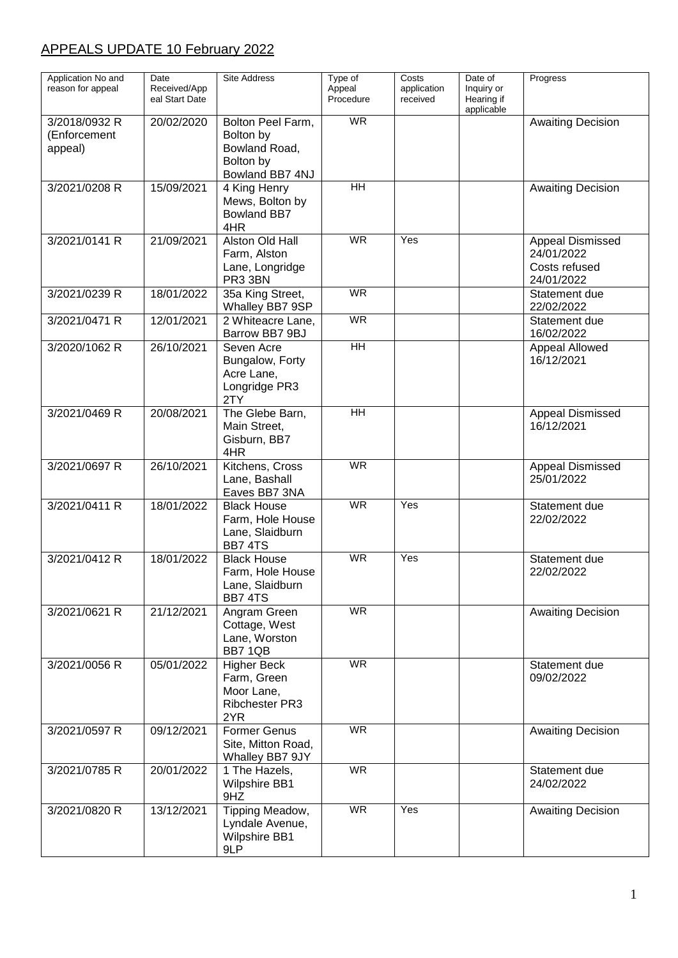## APPEALS UPDATE 10 February 2022

| Application No and<br>reason for appeal  | Date<br>Received/App<br>eal Start Date | Site Address                                                                    | Type of<br>Appeal<br>Procedure | Costs<br>application<br>received | Date of<br>Inquiry or<br>Hearing if<br>applicable | Progress                                                      |
|------------------------------------------|----------------------------------------|---------------------------------------------------------------------------------|--------------------------------|----------------------------------|---------------------------------------------------|---------------------------------------------------------------|
| 3/2018/0932 R<br>(Enforcement<br>appeal) | 20/02/2020                             | Bolton Peel Farm,<br>Bolton by<br>Bowland Road,<br>Bolton by<br>Bowland BB7 4NJ | <b>WR</b>                      |                                  |                                                   | <b>Awaiting Decision</b>                                      |
| 3/2021/0208 R                            | 15/09/2021                             | 4 King Henry<br>Mews, Bolton by<br><b>Bowland BB7</b><br>4HR                    | HH                             |                                  |                                                   | <b>Awaiting Decision</b>                                      |
| 3/2021/0141 R                            | 21/09/2021                             | Alston Old Hall<br>Farm, Alston<br>Lane, Longridge<br>PR3 3BN                   | <b>WR</b>                      | Yes                              |                                                   | Appeal Dismissed<br>24/01/2022<br>Costs refused<br>24/01/2022 |
| 3/2021/0239 R                            | 18/01/2022                             | 35a King Street,<br>Whalley BB7 9SP                                             | <b>WR</b>                      |                                  |                                                   | Statement due<br>22/02/2022                                   |
| 3/2021/0471 R                            | 12/01/2021                             | 2 Whiteacre Lane,<br>Barrow BB7 9BJ                                             | <b>WR</b>                      |                                  |                                                   | Statement due<br>16/02/2022                                   |
| 3/2020/1062 R                            | 26/10/2021                             | Seven Acre<br>Bungalow, Forty<br>Acre Lane,<br>Longridge PR3<br>2TY             | $\overline{H}$                 |                                  |                                                   | Appeal Allowed<br>16/12/2021                                  |
| 3/2021/0469 R                            | 20/08/2021                             | The Glebe Barn,<br>Main Street,<br>Gisburn, BB7<br>4HR                          | $\overline{H}$                 |                                  |                                                   | <b>Appeal Dismissed</b><br>16/12/2021                         |
| 3/2021/0697 R                            | 26/10/2021                             | Kitchens, Cross<br>Lane, Bashall<br>Eaves BB7 3NA                               | <b>WR</b>                      |                                  |                                                   | Appeal Dismissed<br>25/01/2022                                |
| 3/2021/0411 R                            | 18/01/2022                             | <b>Black House</b><br>Farm, Hole House<br>Lane, Slaidburn<br><b>BB7 4TS</b>     | $\overline{\mathsf{WR}}$       | Yes                              |                                                   | Statement due<br>22/02/2022                                   |
| 3/2021/0412 R                            | 18/01/2022                             | <b>Black House</b><br>Farm, Hole House<br>Lane, Slaidburn<br><b>BB7 4TS</b>     | <b>WR</b>                      | Yes                              |                                                   | Statement due<br>22/02/2022                                   |
| 3/2021/0621 R                            | 21/12/2021                             | Angram Green<br>Cottage, West<br>Lane, Worston<br>BB7 1QB                       | WR                             |                                  |                                                   | <b>Awaiting Decision</b>                                      |
| 3/2021/0056 R                            | 05/01/2022                             | <b>Higher Beck</b><br>Farm, Green<br>Moor Lane,<br>Ribchester PR3<br>2YR        | <b>WR</b>                      |                                  |                                                   | Statement due<br>09/02/2022                                   |
| 3/2021/0597 R                            | 09/12/2021                             | <b>Former Genus</b><br>Site, Mitton Road,<br>Whalley BB7 9JY                    | <b>WR</b>                      |                                  |                                                   | <b>Awaiting Decision</b>                                      |
| 3/2021/0785 R                            | 20/01/2022                             | 1 The Hazels,<br><b>Wilpshire BB1</b><br>9HZ                                    | <b>WR</b>                      |                                  |                                                   | Statement due<br>24/02/2022                                   |
| 3/2021/0820 R                            | 13/12/2021                             | Tipping Meadow,<br>Lyndale Avenue,<br><b>Wilpshire BB1</b><br>9LP               | <b>WR</b>                      | Yes                              |                                                   | <b>Awaiting Decision</b>                                      |